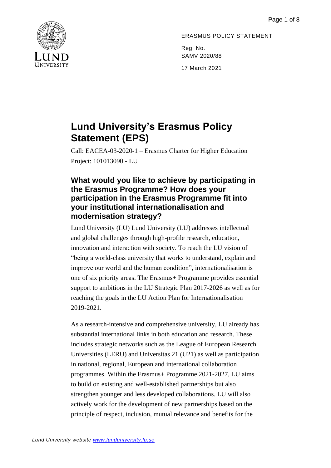

## ERASMUS POLICY STATEMENT

Reg. No. SAMV 2020/88

17 March 2021

# **Lund University's Erasmus Policy Statement (EPS)**

Call: EACEA-03-2020-1 – Erasmus Charter for Higher Education Project: 101013090 - LU

### **What would you like to achieve by participating in the Erasmus Programme? How does your participation in the Erasmus Programme fit into your institutional internationalisation and modernisation strategy?**

Lund University (LU) Lund University (LU) addresses intellectual and global challenges through high-profile research, education, innovation and interaction with society. To reach the LU vision of "being a world-class university that works to understand, explain and improve our world and the human condition", internationalisation is one of six priority areas. The Erasmus+ Programme provides essential support to ambitions in the LU Strategic Plan 2017-2026 as well as for reaching the goals in the LU Action Plan for Internationalisation 2019-2021.

As a research-intensive and comprehensive university, LU already has substantial international links in both education and research. These includes strategic networks such as the League of European Research Universities (LERU) and Universitas 21 (U21) as well as participation in national, regional, European and international collaboration programmes. Within the Erasmus+ Programme 2021-2027, LU aims to build on existing and well-established partnerships but also strengthen younger and less developed collaborations. LU will also actively work for the development of new partnerships based on the principle of respect, inclusion, mutual relevance and benefits for the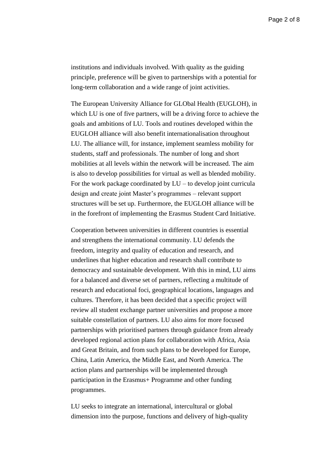institutions and individuals involved. With quality as the guiding principle, preference will be given to partnerships with a potential for long-term collaboration and a wide range of joint activities.

The European University Alliance for GLObal Health (EUGLOH), in which LU is one of five partners, will be a driving force to achieve the goals and ambitions of LU. Tools and routines developed within the EUGLOH alliance will also benefit internationalisation throughout LU. The alliance will, for instance, implement seamless mobility for students, staff and professionals. The number of long and short mobilities at all levels within the network will be increased. The aim is also to develop possibilities for virtual as well as blended mobility. For the work package coordinated by  $LU$  – to develop joint curricula design and create joint Master's programmes – relevant support structures will be set up. Furthermore, the EUGLOH alliance will be in the forefront of implementing the Erasmus Student Card Initiative.

Cooperation between universities in different countries is essential and strengthens the international community. LU defends the freedom, integrity and quality of education and research, and underlines that higher education and research shall contribute to democracy and sustainable development. With this in mind, LU aims for a balanced and diverse set of partners, reflecting a multitude of research and educational foci, geographical locations, languages and cultures. Therefore, it has been decided that a specific project will review all student exchange partner universities and propose a more suitable constellation of partners. LU also aims for more focused partnerships with prioritised partners through guidance from already developed regional action plans for collaboration with Africa, Asia and Great Britain, and from such plans to be developed for Europe, China, Latin America, the Middle East, and North America. The action plans and partnerships will be implemented through participation in the Erasmus+ Programme and other funding programmes.

LU seeks to integrate an international, intercultural or global dimension into the purpose, functions and delivery of high-quality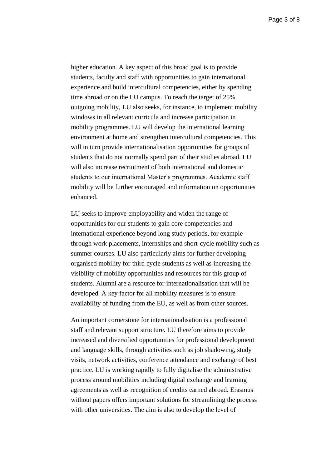higher education. A key aspect of this broad goal is to provide students, faculty and staff with opportunities to gain international experience and build intercultural competencies, either by spending time abroad or on the LU campus. To reach the target of 25% outgoing mobility, LU also seeks, for instance, to implement mobility windows in all relevant curricula and increase participation in mobility programmes. LU will develop the international learning environment at home and strengthen intercultural competencies. This will in turn provide internationalisation opportunities for groups of students that do not normally spend part of their studies abroad. LU will also increase recruitment of both international and domestic students to our international Master's programmes. Academic staff mobility will be further encouraged and information on opportunities enhanced.

LU seeks to improve employability and widen the range of opportunities for our students to gain core competencies and international experience beyond long study periods, for example through work placements, internships and short-cycle mobility such as summer courses. LU also particularly aims for further developing organised mobility for third cycle students as well as increasing the visibility of mobility opportunities and resources for this group of students. Alumni are a resource for internationalisation that will be developed. A key factor for all mobility measures is to ensure availability of funding from the EU, as well as from other sources.

An important cornerstone for internationalisation is a professional staff and relevant support structure. LU therefore aims to provide increased and diversified opportunities for professional development and language skills, through activities such as job shadowing, study visits, network activities, conference attendance and exchange of best practice. LU is working rapidly to fully digitalise the administrative process around mobilities including digital exchange and learning agreements as well as recognition of credits earned abroad. Erasmus without papers offers important solutions for streamlining the process with other universities. The aim is also to develop the level of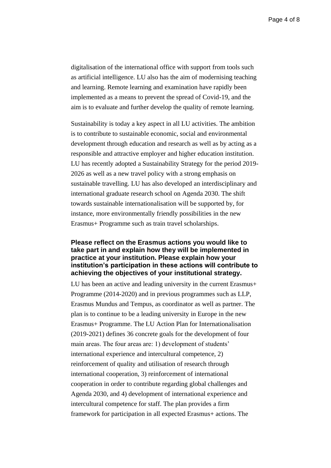digitalisation of the international office with support from tools such as artificial intelligence. LU also has the aim of modernising teaching and learning. Remote learning and examination have rapidly been implemented as a means to prevent the spread of Covid-19, and the aim is to evaluate and further develop the quality of remote learning.

Sustainability is today a key aspect in all LU activities. The ambition is to contribute to sustainable economic, social and environmental development through education and research as well as by acting as a responsible and attractive employer and higher education institution. LU has recently adopted a Sustainability Strategy for the period 2019- 2026 as well as a new travel policy with a strong emphasis on sustainable travelling. LU has also developed an interdisciplinary and international graduate research school on Agenda 2030. The shift towards sustainable internationalisation will be supported by, for instance, more environmentally friendly possibilities in the new Erasmus+ Programme such as train travel scholarships.

### **Please reflect on the Erasmus actions you would like to take part in and explain how they will be implemented in practice at your institution. Please explain how your institution's participation in these actions will contribute to achieving the objectives of your institutional strategy.**

LU has been an active and leading university in the current Erasmus+ Programme (2014-2020) and in previous programmes such as LLP, Erasmus Mundus and Tempus, as coordinator as well as partner. The plan is to continue to be a leading university in Europe in the new Erasmus+ Programme. The LU Action Plan for Internationalisation (2019-2021) defines 36 concrete goals for the development of four main areas. The four areas are: 1) development of students' international experience and intercultural competence, 2) reinforcement of quality and utilisation of research through international cooperation, 3) reinforcement of international cooperation in order to contribute regarding global challenges and Agenda 2030, and 4) development of international experience and intercultural competence for staff. The plan provides a firm framework for participation in all expected Erasmus+ actions. The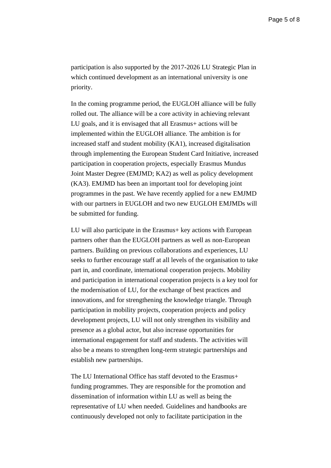participation is also supported by the 2017-2026 LU Strategic Plan in which continued development as an international university is one priority.

In the coming programme period, the EUGLOH alliance will be fully rolled out. The alliance will be a core activity in achieving relevant LU goals, and it is envisaged that all Erasmus+ actions will be implemented within the EUGLOH alliance. The ambition is for increased staff and student mobility (KA1), increased digitalisation through implementing the European Student Card Initiative, increased participation in cooperation projects, especially Erasmus Mundus Joint Master Degree (EMJMD; KA2) as well as policy development (KA3). EMJMD has been an important tool for developing joint programmes in the past. We have recently applied for a new EMJMD with our partners in EUGLOH and two new EUGLOH EMJMDs will be submitted for funding.

LU will also participate in the Erasmus+ key actions with European partners other than the EUGLOH partners as well as non-European partners. Building on previous collaborations and experiences, LU seeks to further encourage staff at all levels of the organisation to take part in, and coordinate, international cooperation projects. Mobility and participation in international cooperation projects is a key tool for the modernisation of LU, for the exchange of best practices and innovations, and for strengthening the knowledge triangle. Through participation in mobility projects, cooperation projects and policy development projects, LU will not only strengthen its visibility and presence as a global actor, but also increase opportunities for international engagement for staff and students. The activities will also be a means to strengthen long-term strategic partnerships and establish new partnerships.

The LU International Office has staff devoted to the Erasmus+ funding programmes. They are responsible for the promotion and dissemination of information within LU as well as being the representative of LU when needed. Guidelines and handbooks are continuously developed not only to facilitate participation in the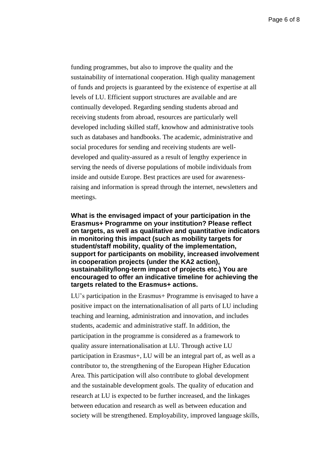funding programmes, but also to improve the quality and the sustainability of international cooperation. High quality management of funds and projects is guaranteed by the existence of expertise at all levels of LU. Efficient support structures are available and are continually developed. Regarding sending students abroad and receiving students from abroad, resources are particularly well developed including skilled staff, knowhow and administrative tools such as databases and handbooks. The academic, administrative and social procedures for sending and receiving students are welldeveloped and quality-assured as a result of lengthy experience in serving the needs of diverse populations of mobile individuals from inside and outside Europe. Best practices are used for awarenessraising and information is spread through the internet, newsletters and meetings.

**What is the envisaged impact of your participation in the Erasmus+ Programme on your institution? Please reflect on targets, as well as qualitative and quantitative indicators in monitoring this impact (such as mobility targets for student/staff mobility, quality of the implementation, support for participants on mobility, increased involvement in cooperation projects (under the KA2 action), sustainability/long-term impact of projects etc.) You are encouraged to offer an indicative timeline for achieving the targets related to the Erasmus+ actions.**

LU's participation in the Erasmus+ Programme is envisaged to have a positive impact on the internationalisation of all parts of LU including teaching and learning, administration and innovation, and includes students, academic and administrative staff. In addition, the participation in the programme is considered as a framework to quality assure internationalisation at LU. Through active LU participation in Erasmus+, LU will be an integral part of, as well as a contributor to, the strengthening of the European Higher Education Area. This participation will also contribute to global development and the sustainable development goals. The quality of education and research at LU is expected to be further increased, and the linkages between education and research as well as between education and society will be strengthened. Employability, improved language skills,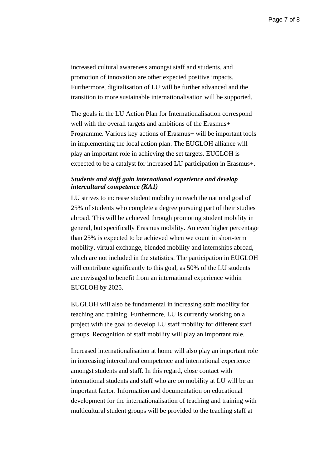increased cultural awareness amongst staff and students, and promotion of innovation are other expected positive impacts. Furthermore, digitalisation of LU will be further advanced and the transition to more sustainable internationalisation will be supported.

The goals in the LU Action Plan for Internationalisation correspond well with the overall targets and ambitions of the Erasmus<sup>+</sup> Programme. Various key actions of Erasmus+ will be important tools in implementing the local action plan. The EUGLOH alliance will play an important role in achieving the set targets. EUGLOH is expected to be a catalyst for increased LU participation in Erasmus+.

#### *Students and staff gain international experience and develop intercultural competence (KA1)*

LU strives to increase student mobility to reach the national goal of 25% of students who complete a degree pursuing part of their studies abroad. This will be achieved through promoting student mobility in general, but specifically Erasmus mobility. An even higher percentage than 25% is expected to be achieved when we count in short-term mobility, virtual exchange, blended mobility and internships abroad, which are not included in the statistics. The participation in EUGLOH will contribute significantly to this goal, as 50% of the LU students are envisaged to benefit from an international experience within EUGLOH by 2025.

EUGLOH will also be fundamental in increasing staff mobility for teaching and training. Furthermore, LU is currently working on a project with the goal to develop LU staff mobility for different staff groups. Recognition of staff mobility will play an important role.

Increased internationalisation at home will also play an important role in increasing intercultural competence and international experience amongst students and staff. In this regard, close contact with international students and staff who are on mobility at LU will be an important factor. Information and documentation on educational development for the internationalisation of teaching and training with multicultural student groups will be provided to the teaching staff at